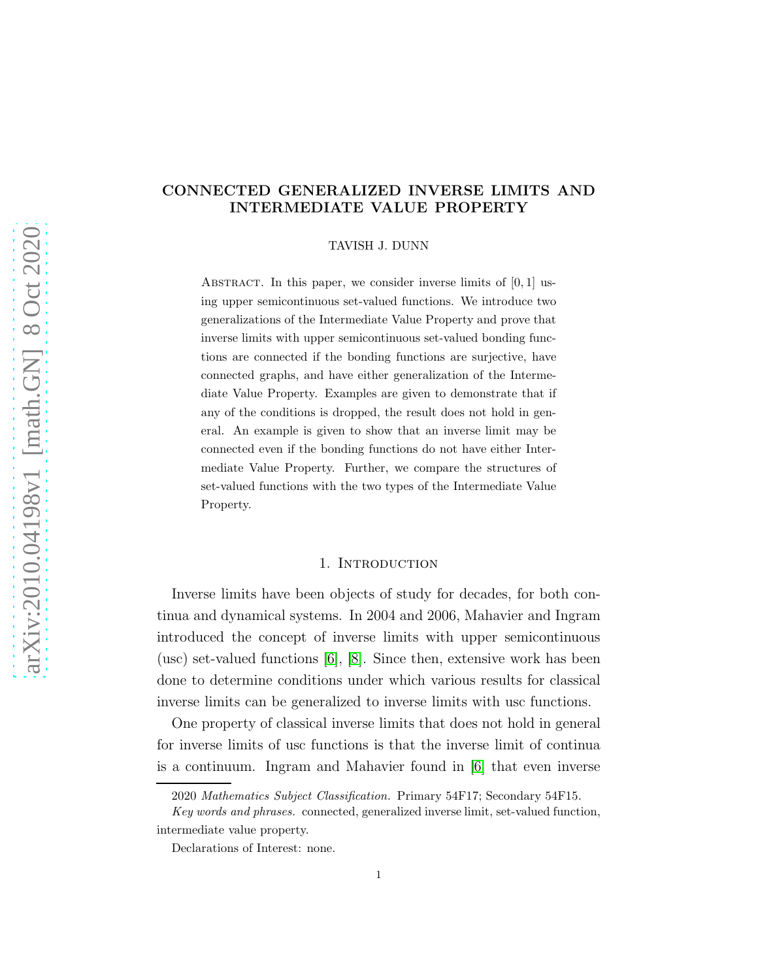# CONNECTED GENERALIZED INVERSE LIMITS AND INTERMEDIATE VALUE PROPERTY

TAVISH J. DUNN

ABSTRACT. In this paper, we consider inverse limits of  $[0, 1]$  using upper semicontinuous set-valued functions. We introduce two generalizations of the Intermediate Value Property and prove that inverse limits with upper semicontinuous set-valued bonding functions are connected if the bonding functions are surjective, have connected graphs, and have either generalization of the Intermediate Value Property. Examples are given to demonstrate that if any of the conditions is dropped, the result does not hold in general. An example is given to show that an inverse limit may be connected even if the bonding functions do not have either Intermediate Value Property. Further, we compare the structures of set-valued functions with the two types of the Intermediate Value Property.

# 1. INTRODUCTION

Inverse limits have been objects of study for decades, for both continua and dynamical systems. In 2004 and 2006, Mahavier and Ingram introduced the concept of inverse limits with upper semicontinuous (usc) set-valued functions [\[6\]](#page-16-0), [\[8\]](#page-16-1). Since then, extensive work has been done to determine conditions under which various results for classical inverse limits can be generalized to inverse limits with usc functions.

One property of classical inverse limits that does not hold in general for inverse limits of usc functions is that the inverse limit of continua is a continuum. Ingram and Mahavier found in [\[6\]](#page-16-0) that even inverse

<sup>2020</sup> *Mathematics Subject Classification.* Primary 54F17; Secondary 54F15.

*Key words and phrases.* connected, generalized inverse limit, set-valued function, intermediate value property.

Declarations of Interest: none.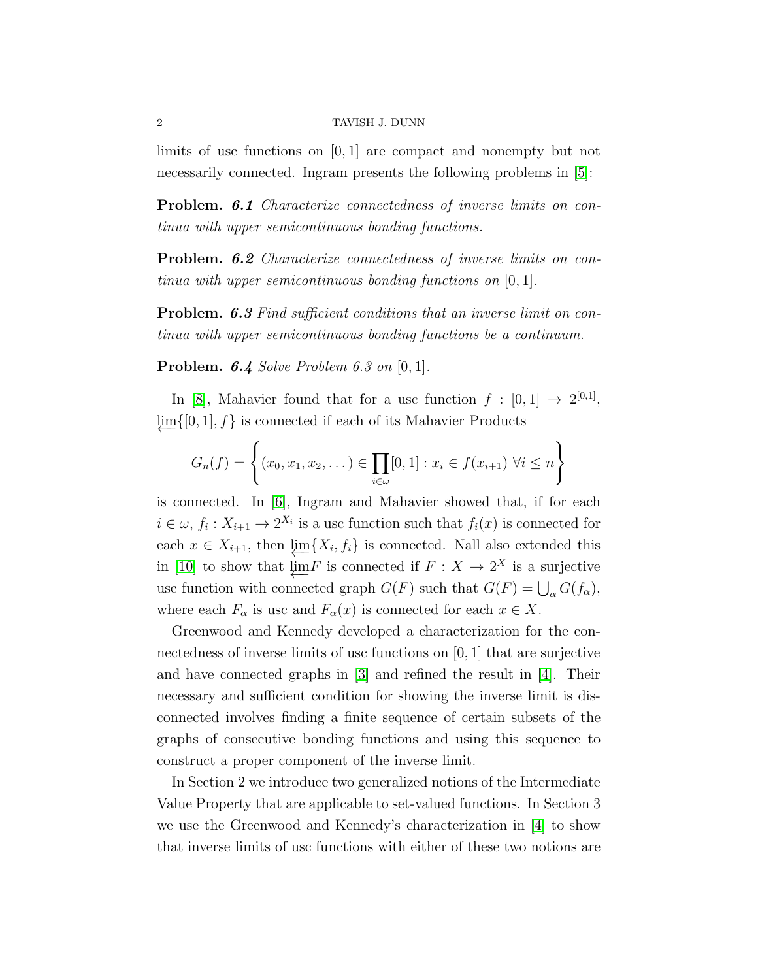limits of usc functions on [0, 1] are compact and nonempty but not necessarily connected. Ingram presents the following problems in [\[5\]](#page-16-2):

Problem. 6.1 Characterize connectedness of inverse limits on continua with upper semicontinuous bonding functions.

Problem. 6.2 Characterize connectedness of inverse limits on continua with upper semicontinuous bonding functions on [0, 1].

**Problem. 6.3** Find sufficient conditions that an inverse limit on continua with upper semicontinuous bonding functions be a continuum.

**Problem. 6.4** Solve Problem 6.3 on  $[0, 1]$ .

In [\[8\]](#page-16-1), Mahavier found that for a usc function  $f : [0,1] \rightarrow 2^{[0,1]}$ ,  $\lim\{[0, 1], f\}$  is connected if each of its Mahavier Products

$$
G_n(f) = \left\{ (x_0, x_1, x_2, \dots) \in \prod_{i \in \omega} [0, 1] : x_i \in f(x_{i+1}) \; \forall i \leq n \right\}
$$

is connected. In [\[6\]](#page-16-0), Ingram and Mahavier showed that, if for each  $i \in \omega$ ,  $f_i: X_{i+1} \to 2^{X_i}$  is a usc function such that  $f_i(x)$  is connected for each  $x \in X_{i+1}$ , then  $\varprojlim \{ X_i, f_i \}$  is connected. Nall also extended this in [\[10\]](#page-17-0) to show that  $\underline{\lim} F$  is connected if  $F : X \to 2^X$  is a surjective usc function with connected graph  $G(F)$  such that  $G(F) = \bigcup_{\alpha} G(f_{\alpha}),$ where each  $F_{\alpha}$  is usc and  $F_{\alpha}(x)$  is connected for each  $x \in X$ .

Greenwood and Kennedy developed a characterization for the connectedness of inverse limits of usc functions on [0, 1] that are surjective and have connected graphs in [\[3\]](#page-16-3) and refined the result in [\[4\]](#page-16-4). Their necessary and sufficient condition for showing the inverse limit is disconnected involves finding a finite sequence of certain subsets of the graphs of consecutive bonding functions and using this sequence to construct a proper component of the inverse limit.

In Section 2 we introduce two generalized notions of the Intermediate Value Property that are applicable to set-valued functions. In Section 3 we use the Greenwood and Kennedy's characterization in [\[4\]](#page-16-4) to show that inverse limits of usc functions with either of these two notions are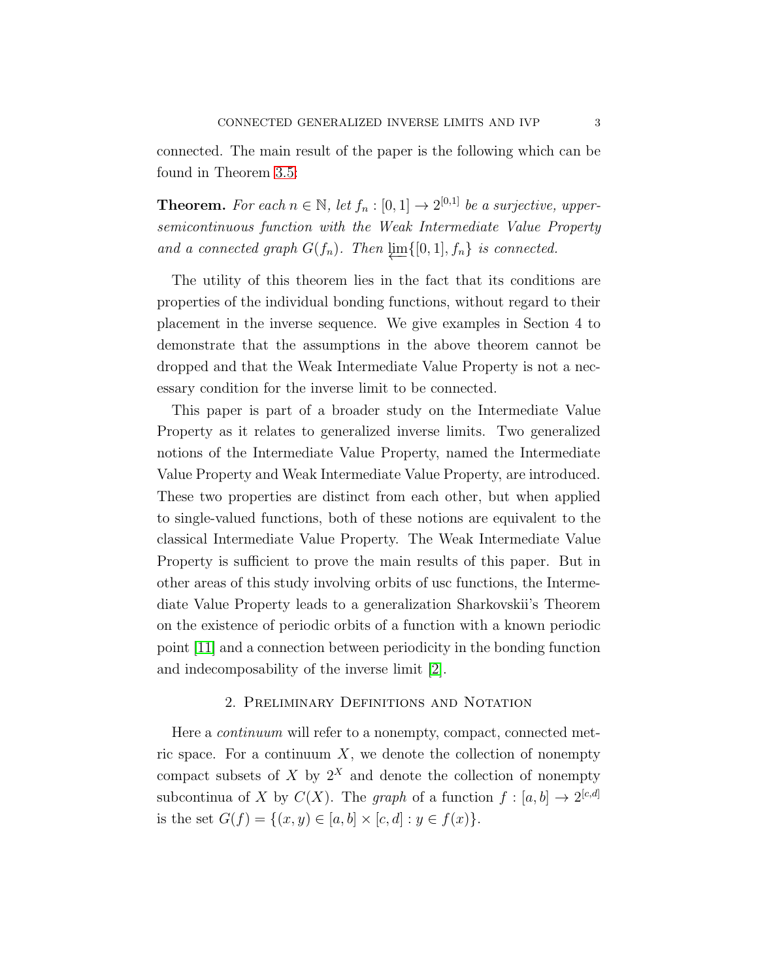connected. The main result of the paper is the following which can be found in Theorem [3.5:](#page-8-0)

**Theorem.** For each  $n \in \mathbb{N}$ , let  $f_n : [0,1] \to 2^{[0,1]}$  be a surjective, uppersemicontinuous function with the Weak Intermediate Value Property and a connected graph  $G(f_n)$ . Then  $\varprojlim\{[0, 1], f_n\}$  is connected.

The utility of this theorem lies in the fact that its conditions are properties of the individual bonding functions, without regard to their placement in the inverse sequence. We give examples in Section 4 to demonstrate that the assumptions in the above theorem cannot be dropped and that the Weak Intermediate Value Property is not a necessary condition for the inverse limit to be connected.

This paper is part of a broader study on the Intermediate Value Property as it relates to generalized inverse limits. Two generalized notions of the Intermediate Value Property, named the Intermediate Value Property and Weak Intermediate Value Property, are introduced. These two properties are distinct from each other, but when applied to single-valued functions, both of these notions are equivalent to the classical Intermediate Value Property. The Weak Intermediate Value Property is sufficient to prove the main results of this paper. But in other areas of this study involving orbits of usc functions, the Intermediate Value Property leads to a generalization Sharkovskii's Theorem on the existence of periodic orbits of a function with a known periodic point [\[11\]](#page-17-1) and a connection between periodicity in the bonding function and indecomposability of the inverse limit [\[2\]](#page-16-5).

## 2. Preliminary Definitions and Notation

Here a *continuum* will refer to a nonempty, compact, connected metric space. For a continuum  $X$ , we denote the collection of nonempty compact subsets of X by  $2^X$  and denote the collection of nonempty subcontinua of X by  $C(X)$ . The graph of a function  $f : [a, b] \to 2^{[c,d]}$ is the set  $G(f) = \{(x, y) \in [a, b] \times [c, d] : y \in f(x)\}.$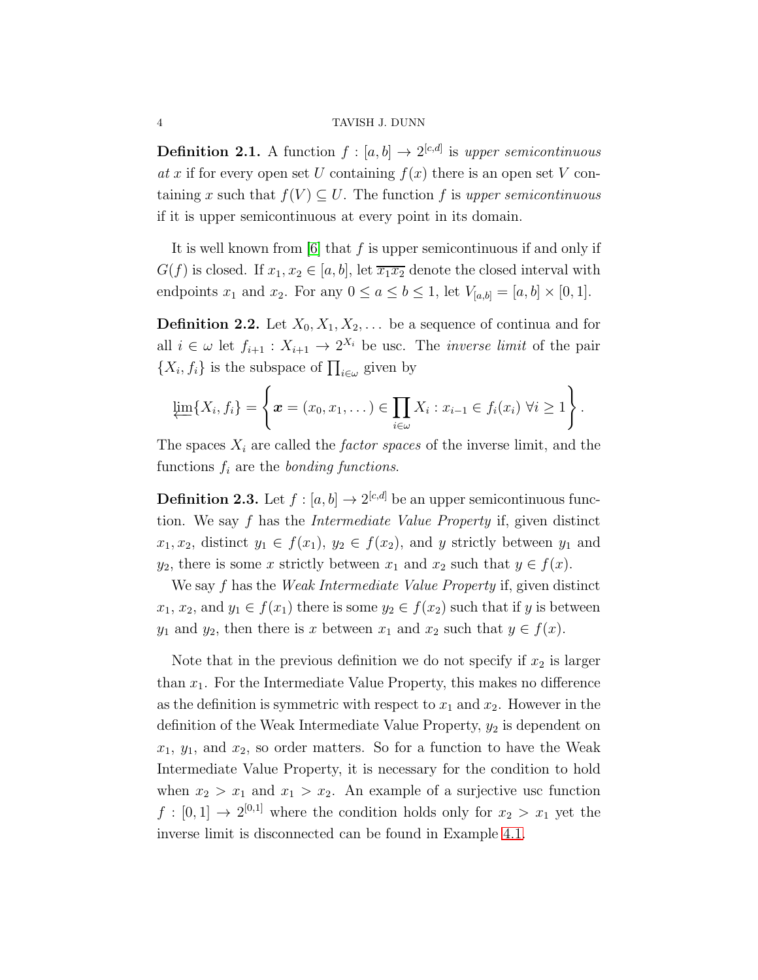**Definition 2.1.** A function  $f : [a, b] \rightarrow 2^{[c,d]}$  is upper semicontinuous at x if for every open set U containing  $f(x)$  there is an open set V containing x such that  $f(V) \subseteq U$ . The function f is upper semicontinuous if it is upper semicontinuous at every point in its domain.

It is well known from [\[6\]](#page-16-0) that f is upper semicontinuous if and only if  $G(f)$  is closed. If  $x_1, x_2 \in [a, b]$ , let  $\overline{x_1 x_2}$  denote the closed interval with endpoints  $x_1$  and  $x_2$ . For any  $0 \le a \le b \le 1$ , let  $V_{[a,b]} = [a, b] \times [0, 1]$ .

**Definition 2.2.** Let  $X_0, X_1, X_2, \ldots$  be a sequence of continua and for all  $i \in \omega$  let  $f_{i+1}$ :  $X_{i+1} \to 2^{X_i}$  be usc. The *inverse limit* of the pair  $\{X_i, f_i\}$  is the subspace of  $\prod_{i \in \omega}$  given by

$$
\varprojlim \{X_i, f_i\} = \left\{ \boldsymbol{x} = (x_0, x_1, \dots) \in \prod_{i \in \omega} X_i : x_{i-1} \in f_i(x_i) \ \forall i \geq 1 \right\}.
$$

The spaces  $X_i$  are called the *factor spaces* of the inverse limit, and the functions  $f_i$  are the *bonding functions*.

**Definition 2.3.** Let  $f : [a, b] \to 2^{[c,d]}$  be an upper semicontinuous function. We say f has the Intermediate Value Property if, given distinct  $x_1, x_2$ , distinct  $y_1 \in f(x_1)$ ,  $y_2 \in f(x_2)$ , and y strictly between  $y_1$  and  $y_2$ , there is some x strictly between  $x_1$  and  $x_2$  such that  $y \in f(x)$ .

We say f has the Weak Intermediate Value Property if, given distinct  $x_1, x_2,$  and  $y_1 \in f(x_1)$  there is some  $y_2 \in f(x_2)$  such that if y is between  $y_1$  and  $y_2$ , then there is x between  $x_1$  and  $x_2$  such that  $y \in f(x)$ .

Note that in the previous definition we do not specify if  $x_2$  is larger than  $x_1$ . For the Intermediate Value Property, this makes no difference as the definition is symmetric with respect to  $x_1$  and  $x_2$ . However in the definition of the Weak Intermediate Value Property,  $y_2$  is dependent on  $x_1, y_1$ , and  $x_2$ , so order matters. So for a function to have the Weak Intermediate Value Property, it is necessary for the condition to hold when  $x_2 > x_1$  and  $x_1 > x_2$ . An example of a surjective usc function  $f: [0,1] \to 2^{[0,1]}$  where the condition holds only for  $x_2 > x_1$  yet the inverse limit is disconnected can be found in Example [4.1.](#page-14-0)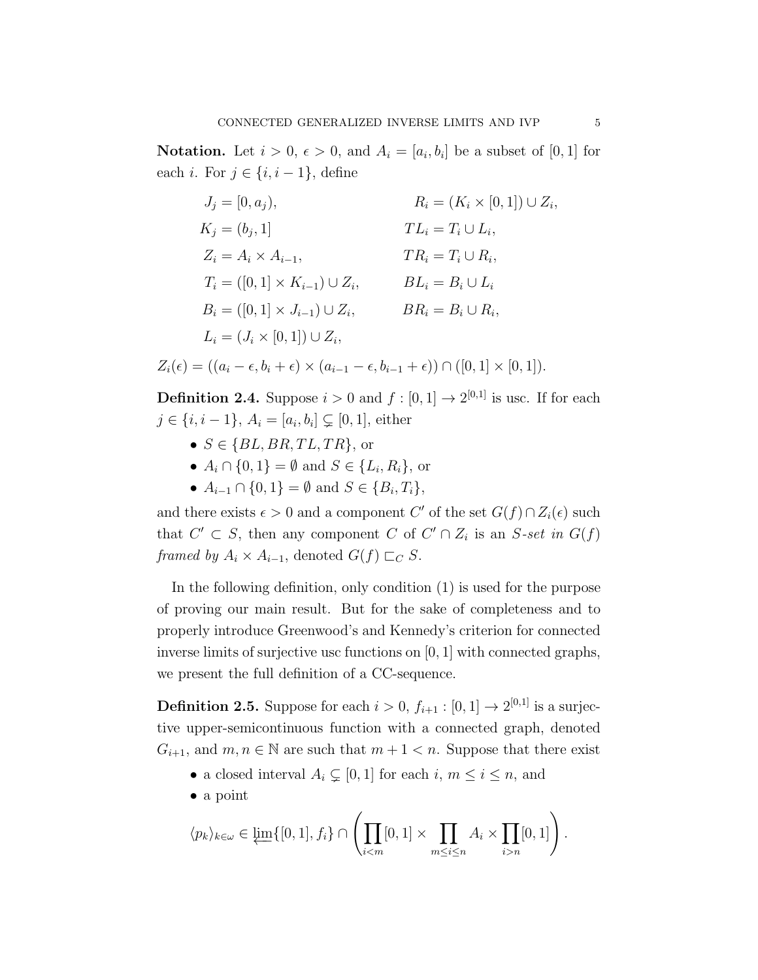**Notation.** Let  $i > 0$ ,  $\epsilon > 0$ , and  $A_i = [a_i, b_i]$  be a subset of [0, 1] for each *i*. For  $j \in \{i, i-1\}$ , define

$$
J_j = [0, a_j), \t R_i = (K_i \times [0, 1]) \cup Z_i,
$$
  
\n
$$
K_j = (b_j, 1) \t T L_i = T_i \cup L_i,
$$
  
\n
$$
Z_i = A_i \times A_{i-1}, \t T R_i = T_i \cup R_i,
$$
  
\n
$$
T_i = ([0, 1] \times K_{i-1}) \cup Z_i, \t B L_i = B_i \cup L_i
$$
  
\n
$$
B_i = ([0, 1] \times J_{i-1}) \cup Z_i, \t B R_i = B_i \cup R_i,
$$
  
\n
$$
L_i = (J_i \times [0, 1]) \cup Z_i,
$$

$$
Z_i(\epsilon) = ((a_i - \epsilon, b_i + \epsilon) \times (a_{i-1} - \epsilon, b_{i-1} + \epsilon)) \cap ([0, 1] \times [0, 1]).
$$

**Definition 2.4.** Suppose  $i > 0$  and  $f : [0, 1] \rightarrow 2^{[0,1]}$  is use. If for each  $j \in \{i, i-1\}, A_i = [a_i, b_i] \subsetneq [0, 1]$ , either

- $S \in \{BL, BR, TL, TR\}$ , or
- $A_i \cap \{0, 1\} = \emptyset$  and  $S \in \{L_i, R_i\}$ , or
- $A_{i-1} \cap \{0,1\} = \emptyset$  and  $S \in \{B_i, T_i\},\$

and there exists  $\epsilon > 0$  and a component C' of the set  $G(f) \cap Z_i(\epsilon)$  such that  $C' \subset S$ , then any component C of  $C' \cap Z_i$  is an S-set in  $G(f)$ framed by  $A_i \times A_{i-1}$ , denoted  $G(f) \sqsubset_C S$ .

In the following definition, only condition (1) is used for the purpose of proving our main result. But for the sake of completeness and to properly introduce Greenwood's and Kennedy's criterion for connected inverse limits of surjective usc functions on [0, 1] with connected graphs, we present the full definition of a CC-sequence.

**Definition 2.5.** Suppose for each  $i > 0$ ,  $f_{i+1} : [0, 1] \rightarrow 2^{[0,1]}$  is a surjective upper-semicontinuous function with a connected graph, denoted  $G_{i+1}$ , and  $m, n \in \mathbb{N}$  are such that  $m+1 < n$ . Suppose that there exist

- a closed interval  $A_i \subsetneq [0, 1]$  for each  $i, m \leq i \leq n$ , and
- a point

$$
\langle p_k \rangle_{k \in \omega} \in \varprojlim \{ [0,1], f_i \} \cap \left( \prod_{i < m} [0,1] \times \prod_{m \leq i \leq n} A_i \times \prod_{i > n} [0,1] \right).
$$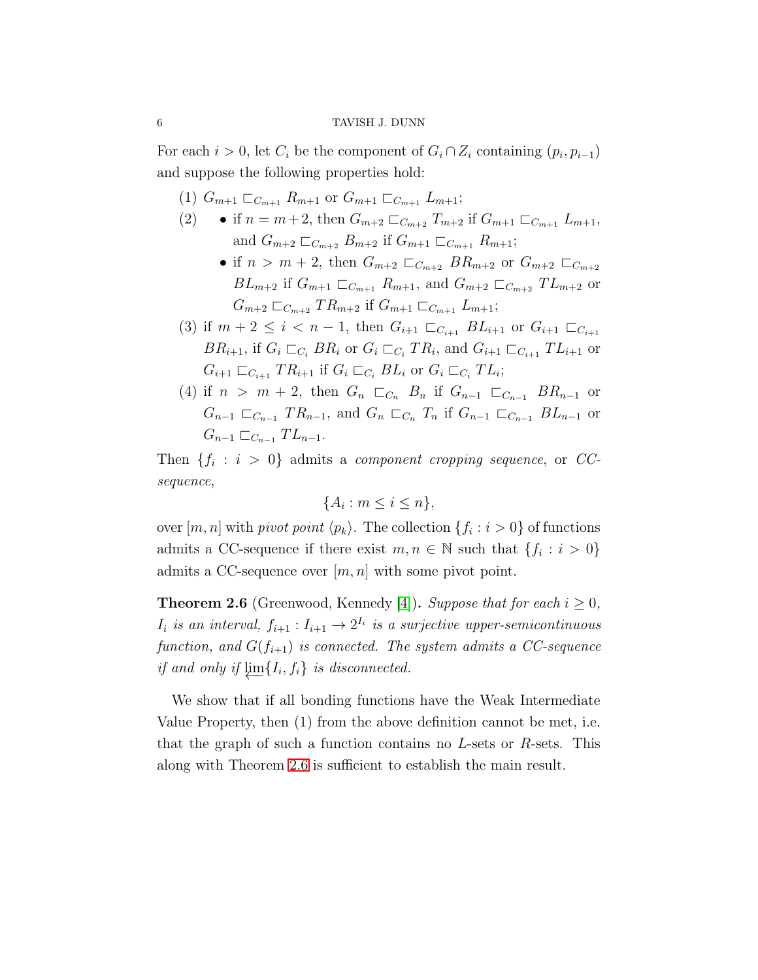For each  $i > 0$ , let  $C_i$  be the component of  $G_i \cap Z_i$  containing  $(p_i, p_{i-1})$ and suppose the following properties hold:

- (1)  $G_{m+1} \sqsubset_{C_{m+1}} R_{m+1}$  or  $G_{m+1} \sqsubset_{C_{m+1}} L_{m+1}$ ;
- if  $n = m+2$ , then  $G_{m+2} \sqsubset_{C_{m+2}} T_{m+2}$  if  $G_{m+1} \sqsubset_{C_{m+1}} L_{m+1}$ , and  $G_{m+2} \sqsubset_{C_{m+2}} B_{m+2}$  if  $G_{m+1} \sqsubset_{C_{m+1}} R_{m+1}$ ;
	- if  $n > m + 2$ , then  $G_{m+2} \sqsubset_{C_{m+2}} BR_{m+2}$  or  $G_{m+2} \sqsubset_{C_{m+2}}$  $BL_{m+2}$  if  $G_{m+1} \sqsubset_{C_{m+1}} R_{m+1}$ , and  $G_{m+2} \sqsubset_{C_{m+2}} T L_{m+2}$  or  $G_{m+2} \sqsubset_{C_{m+2}} TR_{m+2}$  if  $G_{m+1} \sqsubset_{C_{m+1}} L_{m+1}$ ;
- (3) if  $m + 2 \leq i < n 1$ , then  $G_{i+1} \sqsubset_{C_{i+1}} BL_{i+1}$  or  $G_{i+1} \sqsubset_{C_{i+1}}$  $BR_{i+1}$ , if  $G_i \sqsubset_{C_i} BR_i$  or  $G_i \sqsubset_{C_i} TR_i$ , and  $G_{i+1} \sqsubset_{C_{i+1}} TL_{i+1}$  or  $G_{i+1} \sqsubset_{C_{i+1}} TR_{i+1}$  if  $G_i \sqsubset_{C_i} BL_i$  or  $G_i \sqsubset_{C_i} TL_i$ ;
- (4) if  $n > m + 2$ , then  $G_n \n\sqsubset_{C_n} B_n$  if  $G_{n-1} \n\sqsubset_{C_{n-1}} BR_{n-1}$  or  $G_{n-1} \sqsubset_{C_{n-1}} TR_{n-1}$ , and  $G_n \sqsubset_{C_n} T_n$  if  $G_{n-1} \sqsubset_{C_{n-1}} BL_{n-1}$  or  $G_{n-1} \sqsubset_{C_{n-1}} T L_{n-1}.$

Then  $\{f_i : i > 0\}$  admits a *component cropping sequence*, or CCsequence,

$$
\{A_i : m \le i \le n\},\
$$

over  $[m, n]$  with *pivot point*  $\langle p_k \rangle$ . The collection  $\{f_i : i > 0\}$  of functions admits a CC-sequence if there exist  $m, n \in \mathbb{N}$  such that  $\{f_i : i > 0\}$ admits a CC-sequence over  $[m, n]$  with some pivot point.

<span id="page-5-0"></span>**Theorem 2.6** (Greenwood, Kennedy [\[4\]](#page-16-4)). Suppose that for each  $i \geq 0$ ,  $I_i$  is an interval,  $f_{i+1}: I_{i+1} \to 2^{I_i}$  is a surjective upper-semicontinuous function, and  $G(f_{i+1})$  is connected. The system admits a CC-sequence if and only if  $\varprojlim \{ I_i, f_i \}$  is disconnected.

We show that if all bonding functions have the Weak Intermediate Value Property, then (1) from the above definition cannot be met, i.e. that the graph of such a function contains no  $L$ -sets or  $R$ -sets. This along with Theorem [2.6](#page-5-0) is sufficient to establish the main result.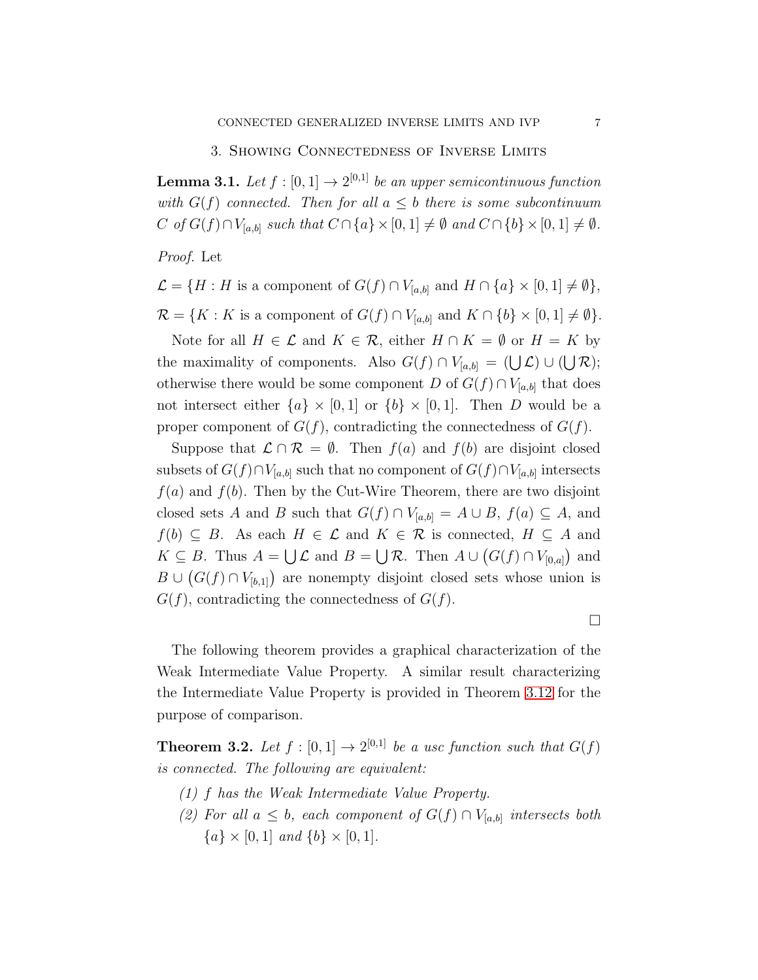#### 3. Showing Connectedness of Inverse Limits

<span id="page-6-0"></span>**Lemma 3.1.** Let  $f : [0,1] \rightarrow 2^{[0,1]}$  be an upper semicontinuous function with  $G(f)$  connected. Then for all  $a \leq b$  there is some subcontinuum C of  $G(f) \cap V_{[a,b]}$  such that  $C \cap \{a\} \times [0,1] \neq \emptyset$  and  $C \cap \{b\} \times [0,1] \neq \emptyset$ .

Proof. Let

$$
\mathcal{L} = \{H : H \text{ is a component of } G(f) \cap V_{[a,b]} \text{ and } H \cap \{a\} \times [0,1] \neq \emptyset\},\
$$

 $\mathcal{R} = \{K : K \text{ is a component of } G(f) \cap V_{[a,b]} \text{ and } K \cap \{b\} \times [0,1] \neq \emptyset \}.$ 

Note for all  $H \in \mathcal{L}$  and  $K \in \mathcal{R}$ , either  $H \cap K = \emptyset$  or  $H = K$  by the maximality of components. Also  $G(f) \cap V_{[a,b]} = (\bigcup \mathcal{L}) \cup (\bigcup \mathcal{R})$ ; otherwise there would be some component D of  $G(f) \cap V_{[a,b]}$  that does not intersect either  ${a} \times [0,1]$  or  ${b} \times [0,1]$ . Then D would be a proper component of  $G(f)$ , contradicting the connectedness of  $G(f)$ .

Suppose that  $\mathcal{L} \cap \mathcal{R} = \emptyset$ . Then  $f(a)$  and  $f(b)$  are disjoint closed subsets of  $G(f) \cap V_{[a,b]}$  such that no component of  $G(f) \cap V_{[a,b]}$  intersects  $f(a)$  and  $f(b)$ . Then by the Cut-Wire Theorem, there are two disjoint closed sets A and B such that  $G(f) \cap V_{[a,b]} = A \cup B$ ,  $f(a) \subseteq A$ , and  $f(b) \subseteq B$ . As each  $H \in \mathcal{L}$  and  $K \in \mathcal{R}$  is connected,  $H \subseteq A$  and  $K \subseteq B$ . Thus  $A = \bigcup \mathcal{L}$  and  $B = \bigcup \mathcal{R}$ . Then  $A \cup (G(f) \cap V_{[0,a]})$  and  $B \cup (G(f) \cap V_{[b,1]})$  are nonempty disjoint closed sets whose union is  $G(f)$ , contradicting the connectedness of  $G(f)$ .

 $\Box$ 

The following theorem provides a graphical characterization of the Weak Intermediate Value Property. A similar result characterizing the Intermediate Value Property is provided in Theorem [3.12](#page-12-0) for the purpose of comparison.

<span id="page-6-1"></span>**Theorem 3.2.** Let  $f : [0,1] \rightarrow 2^{[0,1]}$  be a usc function such that  $G(f)$ is connected. The following are equivalent:

- (1) f has the Weak Intermediate Value Property.
- (2) For all  $a \leq b$ , each component of  $G(f) \cap V_{[a,b]}$  intersects both  ${a} \times [0,1]$  and  ${b} \times [0,1]$ .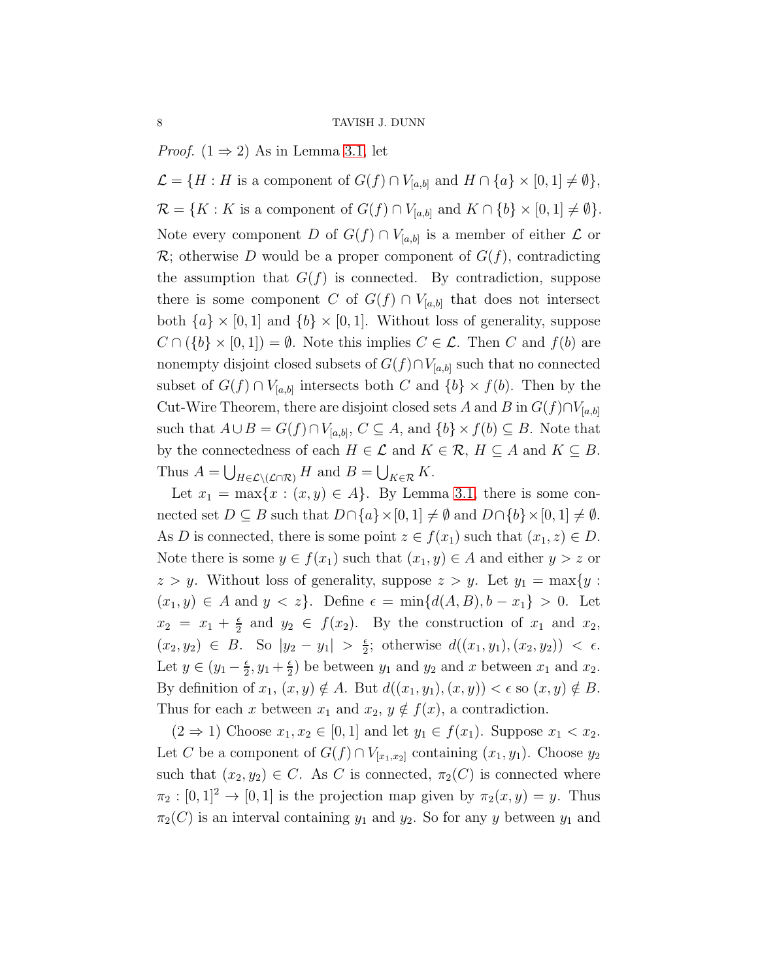*Proof.*  $(1 \Rightarrow 2)$  As in Lemma [3.1,](#page-6-0) let

 $\mathcal{L} = \{H : H \text{ is a component of } G(f) \cap V_{[a,b]} \text{ and } H \cap \{a\} \times [0,1] \neq \emptyset \},\$  $\mathcal{R} = \{K : K \text{ is a component of } G(f) \cap V_{[a,b]} \text{ and } K \cap \{b\} \times [0,1] \neq \emptyset\}.$ Note every component D of  $G(f) \cap V_{[a,b]}$  is a member of either  $\mathcal L$  or  $\mathcal{R}$ ; otherwise D would be a proper component of  $G(f)$ , contradicting the assumption that  $G(f)$  is connected. By contradiction, suppose there is some component C of  $G(f) \cap V_{[a,b]}$  that does not intersect both  $\{a\} \times [0,1]$  and  $\{b\} \times [0,1]$ . Without loss of generality, suppose  $C \cap (\{b\} \times [0,1]) = \emptyset$ . Note this implies  $C \in \mathcal{L}$ . Then C and  $f(b)$  are nonempty disjoint closed subsets of  $G(f) \cap V_{[a,b]}$  such that no connected subset of  $G(f) \cap V_{[a,b]}$  intersects both C and  $\{b\} \times f(b)$ . Then by the Cut-Wire Theorem, there are disjoint closed sets A and B in  $G(f) \cap V_{[a,b]}$ such that  $A \cup B = G(f) \cap V_{[a,b]}, C \subseteq A$ , and  $\{b\} \times f(b) \subseteq B$ . Note that by the connectedness of each  $H \in \mathcal{L}$  and  $K \in \mathcal{R}$ ,  $H \subseteq A$  and  $K \subseteq B$ . Thus  $A = \bigcup_{H \in \mathcal{L} \setminus (\mathcal{L} \cap \mathcal{R})} H$  and  $B = \bigcup_{K \in \mathcal{R}} K$ .

Let  $x_1 = \max\{x : (x, y) \in A\}$ . By Lemma [3.1,](#page-6-0) there is some connected set  $D \subseteq B$  such that  $D \cap \{a\} \times [0, 1] \neq \emptyset$  and  $D \cap \{b\} \times [0, 1] \neq \emptyset$ . As D is connected, there is some point  $z \in f(x_1)$  such that  $(x_1, z) \in D$ . Note there is some  $y \in f(x_1)$  such that  $(x_1, y) \in A$  and either  $y > z$  or  $z > y$ . Without loss of generality, suppose  $z > y$ . Let  $y_1 = \max\{y :$  $(x_1, y) \in A$  and  $y < z$ . Define  $\epsilon = \min\{d(A, B), b - x_1\} > 0$ . Let  $x_2 = x_1 + \frac{\epsilon}{2}$  $\frac{\epsilon}{2}$  and  $y_2 \in f(x_2)$ . By the construction of  $x_1$  and  $x_2$ ,  $(x_2, y_2) \in B$ . So  $|y_2 - y_1| > \frac{\epsilon}{2}$  $\frac{\epsilon}{2}$ ; otherwise  $d((x_1, y_1), (x_2, y_2)) < \epsilon$ . Let  $y \in (y_1 - \frac{\epsilon}{2})$  $\frac{\epsilon}{2}, y_1 + \frac{\epsilon}{2}$  $\frac{\epsilon}{2}$ ) be between  $y_1$  and  $y_2$  and x between  $x_1$  and  $x_2$ . By definition of  $x_1, (x, y) \notin A$ . But  $d((x_1, y_1), (x, y)) < \epsilon$  so  $(x, y) \notin B$ . Thus for each x between  $x_1$  and  $x_2, y \notin f(x)$ , a contradiction.

 $(2 \Rightarrow 1)$  Choose  $x_1, x_2 \in [0, 1]$  and let  $y_1 \in f(x_1)$ . Suppose  $x_1 < x_2$ . Let C be a component of  $G(f) \cap V_{[x_1,x_2]}$  containing  $(x_1,y_1)$ . Choose  $y_2$ such that  $(x_2, y_2) \in C$ . As C is connected,  $\pi_2(C)$  is connected where  $\pi_2 : [0,1]^2 \to [0,1]$  is the projection map given by  $\pi_2(x,y) = y$ . Thus  $\pi_2(C)$  is an interval containing  $y_1$  and  $y_2$ . So for any y between  $y_1$  and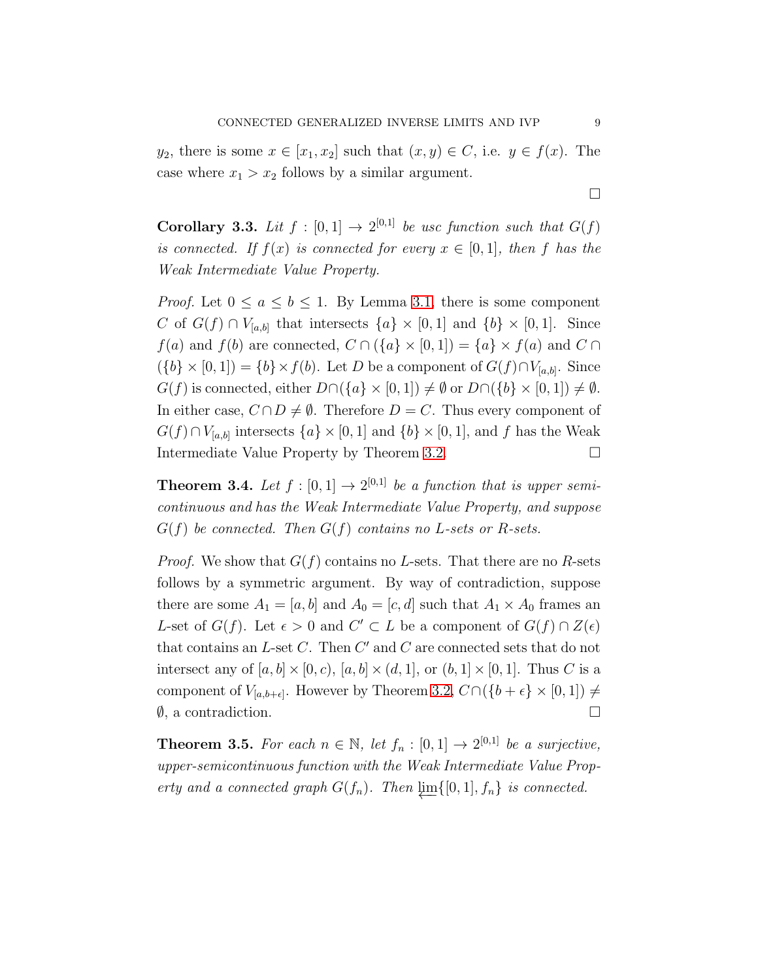$y_2$ , there is some  $x \in [x_1, x_2]$  such that  $(x, y) \in C$ , i.e.  $y \in f(x)$ . The case where  $x_1 > x_2$  follows by a similar argument.

 $\Box$ 

<span id="page-8-2"></span>**Corollary 3.3.** Lit  $f : [0,1] \rightarrow 2^{[0,1]}$  be usc function such that  $G(f)$ is connected. If  $f(x)$  is connected for every  $x \in [0,1]$ , then f has the Weak Intermediate Value Property.

*Proof.* Let  $0 \le a \le b \le 1$ . By Lemma [3.1,](#page-6-0) there is some component C of  $G(f) \cap V_{[a,b]}$  that intersects  $\{a\} \times [0,1]$  and  $\{b\} \times [0,1]$ . Since  $f(a)$  and  $f(b)$  are connected,  $C \cap (\{a\} \times [0,1]) = \{a\} \times f(a)$  and  $C \cap$  $(\{b\} \times [0,1]) = \{b\} \times f(b)$ . Let D be a component of  $G(f) \cap V_{[a,b]}$ . Since  $G(f)$  is connected, either  $D\cap({a} \times [0,1]) \neq \emptyset$  or  $D\cap({b} \times [0,1]) \neq \emptyset$ . In either case,  $C \cap D \neq \emptyset$ . Therefore  $D = C$ . Thus every component of  $G(f) \cap V_{[a,b]}$  intersects  $\{a\} \times [0,1]$  and  $\{b\} \times [0,1]$ , and f has the Weak Intermediate Value Property by Theorem [3.2.](#page-6-1)

<span id="page-8-1"></span>**Theorem 3.4.** Let  $f : [0,1] \rightarrow 2^{[0,1]}$  be a function that is upper semicontinuous and has the Weak Intermediate Value Property, and suppose  $G(f)$  be connected. Then  $G(f)$  contains no L-sets or R-sets.

*Proof.* We show that  $G(f)$  contains no L-sets. That there are no R-sets follows by a symmetric argument. By way of contradiction, suppose there are some  $A_1 = [a, b]$  and  $A_0 = [c, d]$  such that  $A_1 \times A_0$  frames an L-set of  $G(f)$ . Let  $\epsilon > 0$  and  $C' \subset L$  be a component of  $G(f) \cap Z(\epsilon)$ that contains an  $L$ -set  $C$ . Then  $C'$  and  $C$  are connected sets that do not intersect any of  $[a, b] \times [0, c)$ ,  $[a, b] \times (d, 1]$ , or  $(b, 1] \times [0, 1]$ . Thus C is a component of  $V_{[a,b+\epsilon]}$ . However by Theorem [3.2,](#page-6-1)  $C \cap (\{b+\epsilon\} \times [0,1]) \neq$  $\emptyset$ , a contradiction.

<span id="page-8-0"></span>**Theorem 3.5.** For each  $n \in \mathbb{N}$ , let  $f_n : [0,1] \rightarrow 2^{[0,1]}$  be a surjective, upper-semicontinuous function with the Weak Intermediate Value Property and a connected graph  $G(f_n)$ . Then  $\varprojlim\{[0, 1], f_n\}$  is connected.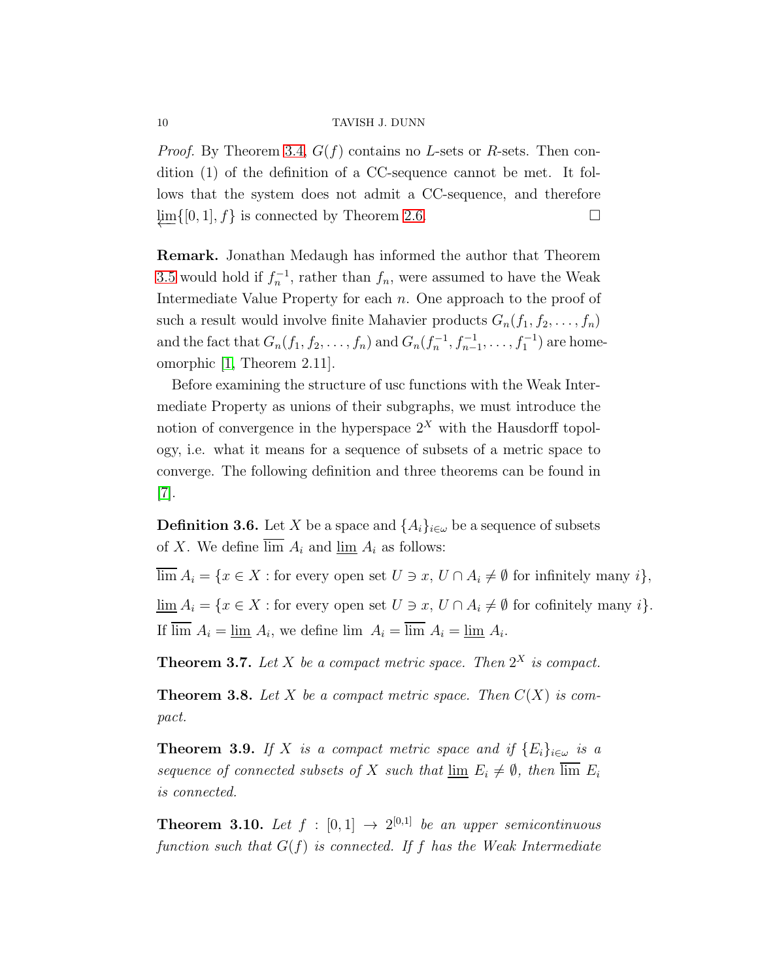*Proof.* By Theorem [3.4,](#page-8-1)  $G(f)$  contains no L-sets or R-sets. Then condition (1) of the definition of a CC-sequence cannot be met. It follows that the system does not admit a CC-sequence, and therefore  $\lim\{0, 1\}, f\}$  is connected by Theorem [2.6.](#page-5-0)

Remark. Jonathan Medaugh has informed the author that Theorem [3.5](#page-8-0) would hold if  $f_n^{-1}$ , rather than  $f_n$ , were assumed to have the Weak Intermediate Value Property for each  $n$ . One approach to the proof of such a result would involve finite Mahavier products  $G_n(f_1, f_2, \ldots, f_n)$ and the fact that  $G_n(f_1, f_2, \ldots, f_n)$  and  $G_n(f_n^{-1}, f_{n-1}^{-1}, \ldots, f_1^{-1})$  are homeomorphic [\[1,](#page-16-6) Theorem 2.11].

Before examining the structure of usc functions with the Weak Intermediate Property as unions of their subgraphs, we must introduce the notion of convergence in the hyperspace  $2<sup>X</sup>$  with the Hausdorff topology, i.e. what it means for a sequence of subsets of a metric space to converge. The following definition and three theorems can be found in [\[7\]](#page-16-7).

**Definition 3.6.** Let X be a space and  $\{A_i\}_{i\in\omega}$  be a sequence of subsets of X. We define  $\overline{\lim} A_i$  and  $\underline{\lim} A_i$  as follows:

 $\overline{\lim} A_i = \{x \in X : \text{for every open set } U \ni x, U \cap A_i \neq \emptyset \text{ for infinitely many } i\},\$  $\underline{\lim} A_i = \{x \in X : \text{for every open set } U \ni x, U \cap A_i \neq \emptyset \text{ for cofinitely many } i\}.$ If  $\lim A_i = \underline{\lim} A_i$ , we define  $\lim A_i = \lim A_i = \underline{\lim} A_i$ .

<span id="page-9-0"></span>**Theorem 3.7.** Let X be a compact metric space. Then  $2^X$  is compact.

**Theorem 3.8.** Let X be a compact metric space. Then  $C(X)$  is compact.

<span id="page-9-1"></span>**Theorem 3.9.** If X is a compact metric space and if  $\{E_i\}_{i\in\omega}$  is a sequence of connected subsets of X such that  $\lim_{i \to \infty} E_i \neq \emptyset$ , then  $\lim_{i \to \infty} E_i$ is connected.

<span id="page-9-2"></span>**Theorem 3.10.** Let  $f : [0,1] \rightarrow 2^{[0,1]}$  be an upper semicontinuous function such that  $G(f)$  is connected. If f has the Weak Intermediate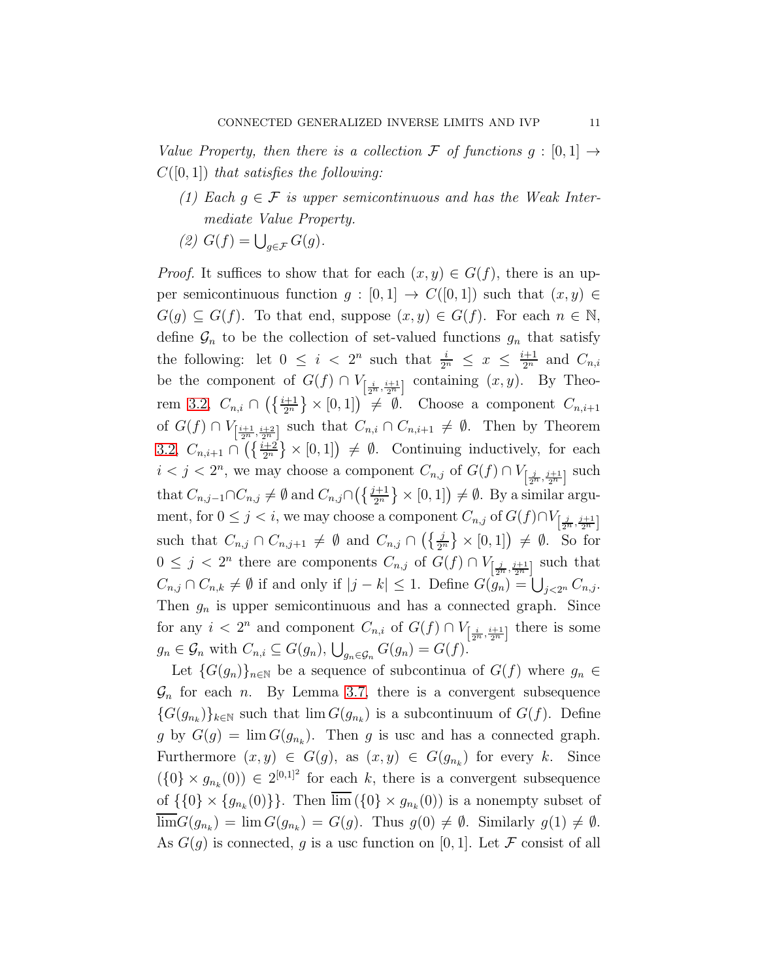Value Property, then there is a collection F of functions  $g : [0,1] \rightarrow$  $C([0, 1])$  that satisfies the following:

- (1) Each  $g \in \mathcal{F}$  is upper semicontinuous and has the Weak Intermediate Value Property.
- (2)  $G(f) = \bigcup_{g \in \mathcal{F}} G(g)$ .

*Proof.* It suffices to show that for each  $(x, y) \in G(f)$ , there is an upper semicontinuous function  $g : [0,1] \rightarrow C([0,1])$  such that  $(x, y) \in$  $G(g) \subseteq G(f)$ . To that end, suppose  $(x, y) \in G(f)$ . For each  $n \in \mathbb{N}$ , define  $\mathcal{G}_n$  to be the collection of set-valued functions  $g_n$  that satisfy the following: let  $0 \leq i < 2^n$  such that  $\frac{i}{2^n} \leq x \leq \frac{i+1}{2^n}$  and  $C_{n,i}$ be the component of  $G(f) \cap V_{\left[\frac{i}{2^n}, \frac{i+1}{2^n}\right]}$  containing  $(x, y)$ . By Theo-rem [3.2,](#page-6-1)  $C_{n,i} \cap \left( \left\{ \frac{i+1}{2^n} \right\} \times [0,1] \right) \neq \emptyset$ . Choose a component  $C_{n,i+1}$ of  $G(f) \cap V_{\left[\frac{i+1}{2^n}, \frac{i+2}{2^n}\right]}$  such that  $C_{n,i} \cap C_{n,i+1} \neq \emptyset$ . Then by Theorem [3.2,](#page-6-1)  $C_{n,i+1} \cap \left(\frac{i+2}{2^n}\right) \times [0,1]\right) \neq \emptyset$ . Continuing inductively, for each  $i < j < 2<sup>n</sup>$ , we may choose a component  $C_{n,j}$  of  $G(f) \cap V_{\left[\frac{j}{2<sup>n</sup>, \frac{j+1}{2<sup>n</sup>}{2<sup>n</sup>}}\right]}$  such that  $C_{n,j-1} \cap C_{n,j} \neq \emptyset$  and  $C_{n,j} \cap (\{\frac{j+1}{2^n}\}\times [0,1]) \neq \emptyset$ . By a similar argument, for  $0 \leq j < i$ , we may choose a component  $C_{n,j}$  of  $G(f) \cap V_{\left[\frac{j}{2^n}, \frac{j+1}{2^n}\right]}$ such that  $C_{n,j} \cap C_{n,j+1} \neq \emptyset$  and  $C_{n,j} \cap (\{\frac{j}{2^n}\}\times[0,1]) \neq \emptyset$ . So for  $0 \leq j < 2^n$  there are components  $C_{n,j}$  of  $G(f) \cap V_{\left[\frac{j}{2^n}, \frac{j+1}{2^n}\right]}$  such that  $C_{n,j} \cap C_{n,k} \neq \emptyset$  if and only if  $|j-k| \leq 1$ . Define  $G(g_n) = \bigcup_{j \leq 2^n} C_{n,j}$ . Then  $g_n$  is upper semicontinuous and has a connected graph. Since for any  $i < 2^n$  and component  $C_{n,i}$  of  $G(f) \cap V_{\left[\frac{i}{2^n}, \frac{i+1}{2^n}\right]}$  there is some  $g_n \in \mathcal{G}_n$  with  $C_{n,i} \subseteq G(g_n)$ ,  $\bigcup_{g_n \in \mathcal{G}_n} G(g_n) = G(f)$ .

Let  $\{G(g_n)\}_{n\in\mathbb{N}}$  be a sequence of subcontinua of  $G(f)$  where  $g_n \in$  $\mathcal{G}_n$  for each *n*. By Lemma [3.7,](#page-9-0) there is a convergent subsequence  ${G(g_{n_k})}_{k \in \mathbb{N}}$  such that  $\lim G(g_{n_k})$  is a subcontinuum of  $G(f)$ . Define g by  $G(g) = \lim G(g_{n_k})$ . Then g is usc and has a connected graph. Furthermore  $(x, y) \in G(g)$ , as  $(x, y) \in G(g_{n_k})$  for every k. Since  $(\{0\} \times g_{n_k}(0)) \in 2^{[0,1]^2}$  for each k, there is a convergent subsequence of  $\{\{0\} \times \{g_{n_k}(0)\}\}\$ . Then  $\lim (\{0\} \times g_{n_k}(0))$  is a nonempty subset of  $\lim G(g_{n_k}) = \lim G(g_{n_k}) = G(g)$ . Thus  $g(0) \neq \emptyset$ . Similarly  $g(1) \neq \emptyset$ . As  $G(q)$  is connected, g is a usc function on [0, 1]. Let F consist of all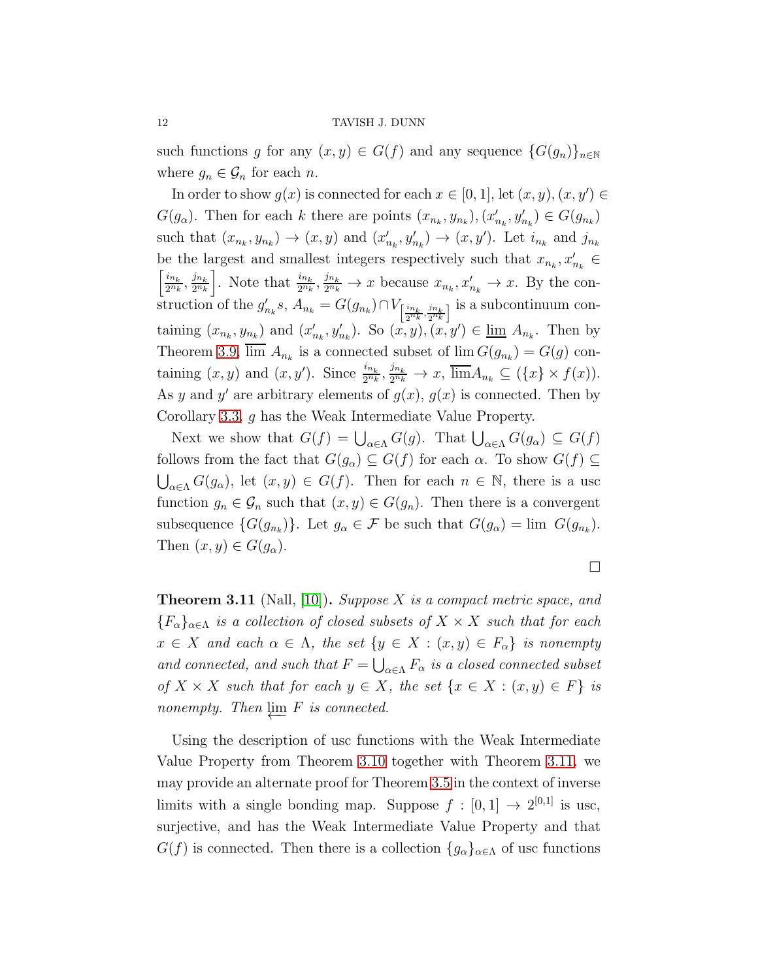such functions g for any  $(x, y) \in G(f)$  and any sequence  $\{G(g_n)\}_{n\in\mathbb{N}}$ where  $g_n \in \mathcal{G}_n$  for each n.

In order to show  $g(x)$  is connected for each  $x \in [0,1]$ , let  $(x, y)$ ,  $(x, y') \in$  $G(g_{\alpha})$ . Then for each k there are points  $(x_{n_k}, y_{n_k})$ ,  $(x'_{n_k}, y'_{n_k}) \in G(g_{n_k})$ such that  $(x_{n_k}, y_{n_k}) \to (x, y)$  and  $(x'_{n_k}, y'_{n_k}) \to (x, y')$ . Let  $i_{n_k}$  and  $j_{n_k}$ be the largest and smallest integers respectively such that  $x_{n_k}, x'_{n_k} \in$  $\left\lceil \frac{i_{n_k}}{n_k} \right\rceil$  $\frac{i_{n_k}}{2^{n_k}}, \frac{j_{n_k}}{2^{n_k}}$  $\left\lfloor \frac{j_{n_k}}{2^{n_k}} \right\rfloor$ . Note that  $\frac{i_{n_k}}{2^{n_k}}, \frac{j_{n_k}}{2^{n_k}}$  $\frac{Jn_k}{2^{n_k}} \to x$  because  $x_{n_k}, x'_{n_k} \to x$ . By the construction of the  $g'_{n_k} s$ ,  $A_{n_k} = G(g_{n_k}) \cap V_{\left[\frac{i n_k}{2^{n_k}}, \frac{j n_k}{2^{n_k}}\right]}$  is a subcontinuum containing  $(x_{n_k}, y_{n_k})$  and  $(x'_{n_k}, y'_{n_k})$ . So  $(x, y), (x, y') \in \underline{\lim} A_{n_k}$ . Then by Theorem [3.9,](#page-9-1)  $\lim A_{n_k}$  is a connected subset of  $\lim G(g_{n_k}) = G(g)$  containing  $(x, y)$  and  $(x, y')$ . Since  $\frac{i_{n_k}}{2^{n_k}}, \frac{j_{n_k}}{2^{n_k}}$  $\frac{Jn_k}{2^{n_k}} \to x$ ,  $\lim A_{n_k} \subseteq (\{x\} \times f(x)).$ As y and y' are arbitrary elements of  $g(x)$ ,  $g(x)$  is connected. Then by Corollary [3.3,](#page-8-2) g has the Weak Intermediate Value Property.

Next we show that  $G(f) = \bigcup_{\alpha \in \Lambda} G(g)$ . That  $\bigcup_{\alpha \in \Lambda} G(g_{\alpha}) \subseteq G(f)$ follows from the fact that  $G(g_{\alpha}) \subseteq G(f)$  for each  $\alpha$ . To show  $G(f) \subseteq$  $\bigcup_{\alpha\in\Lambda}G(g_{\alpha}),$  let  $(x, y)\in G(f)$ . Then for each  $n\in\mathbb{N}$ , there is a usc function  $g_n \in \mathcal{G}_n$  such that  $(x, y) \in G(g_n)$ . Then there is a convergent subsequence  $\{G(g_{n_k})\}$ . Let  $g_{\alpha} \in \mathcal{F}$  be such that  $G(g_{\alpha}) = \lim G(g_{n_k})$ . Then  $(x, y) \in G(g_{\alpha}).$ 

$$
\Box
$$

<span id="page-11-0"></span>**Theorem 3.11** (Nall, [\[10\]](#page-17-0)). Suppose X is a compact metric space, and  ${F_{\alpha}}_{\alpha\in\Lambda}$  is a collection of closed subsets of  $X \times X$  such that for each  $x \in X$  and each  $\alpha \in \Lambda$ , the set  $\{y \in X : (x, y) \in F_{\alpha}\}\$ is nonempty and connected, and such that  $F = \bigcup_{\alpha \in \Lambda} F_{\alpha}$  is a closed connected subset of  $X \times X$  such that for each  $y \in X$ , the set  $\{x \in X : (x, y) \in F\}$  is nonempty. Then  $\lim F$  is connected.

Using the description of usc functions with the Weak Intermediate Value Property from Theorem [3.10](#page-9-2) together with Theorem [3.11,](#page-11-0) we may provide an alternate proof for Theorem [3.5](#page-8-0) in the context of inverse limits with a single bonding map. Suppose  $f : [0,1] \rightarrow 2^{[0,1]}$  is usc, surjective, and has the Weak Intermediate Value Property and that  $G(f)$  is connected. Then there is a collection  ${g_{\alpha}}_{\alpha\in\Lambda}$  of usc functions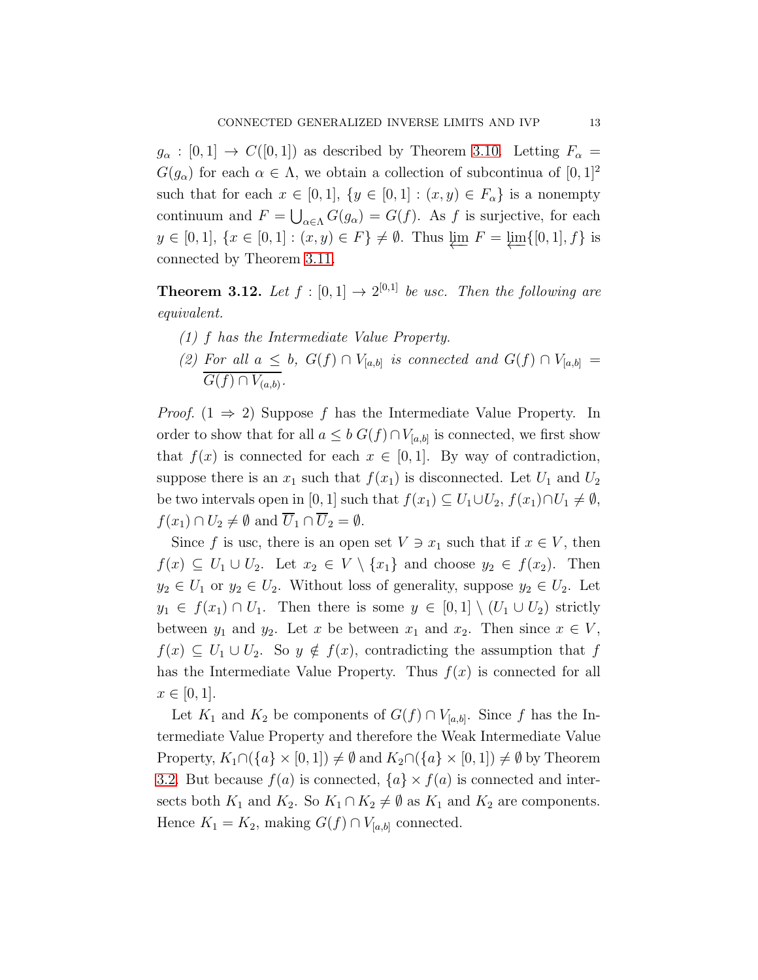$g_{\alpha} : [0,1] \rightarrow C([0,1])$  as described by Theorem [3.10.](#page-9-2) Letting  $F_{\alpha} =$  $G(g_{\alpha})$  for each  $\alpha \in \Lambda$ , we obtain a collection of subcontinua of  $[0,1]^2$ such that for each  $x \in [0,1]$ ,  $\{y \in [0,1] : (x,y) \in F_\alpha\}$  is a nonempty continuum and  $F = \bigcup_{\alpha \in \Lambda} G(g_{\alpha}) = G(f)$ . As f is surjective, for each y ∈ [0, 1], { $x \in [0, 1] : (x, y) \in F$ } ≠  $\emptyset$ . Thus  $\varprojlim F = \varprojlim \{ [0, 1], f \}$  is connected by Theorem [3.11.](#page-11-0)

<span id="page-12-0"></span>**Theorem 3.12.** Let  $f : [0,1] \rightarrow 2^{[0,1]}$  be usc. Then the following are equivalent.

- (1) f has the Intermediate Value Property.
- (2) For all  $a \leq b$ ,  $G(f) \cap V_{[a,b]}$  is connected and  $G(f) \cap V_{[a,b]} =$  $G(f) \cap V_{(a,b)}$ .

*Proof.*  $(1 \Rightarrow 2)$  Suppose f has the Intermediate Value Property. In order to show that for all  $a \leq b G(f) \cap V_{[a,b]}$  is connected, we first show that  $f(x)$  is connected for each  $x \in [0,1]$ . By way of contradiction, suppose there is an  $x_1$  such that  $f(x_1)$  is disconnected. Let  $U_1$  and  $U_2$ be two intervals open in [0, 1] such that  $f(x_1) \subseteq U_1 \cup U_2$ ,  $f(x_1) \cap U_1 \neq \emptyset$ ,  $f(x_1) \cap U_2 \neq \emptyset$  and  $\overline{U}_1 \cap \overline{U}_2 = \emptyset$ .

Since f is usc, there is an open set  $V \ni x_1$  such that if  $x \in V$ , then  $f(x) \subseteq U_1 \cup U_2$ . Let  $x_2 \in V \setminus \{x_1\}$  and choose  $y_2 \in f(x_2)$ . Then  $y_2 \in U_1$  or  $y_2 \in U_2$ . Without loss of generality, suppose  $y_2 \in U_2$ . Let  $y_1 \in f(x_1) \cap U_1$ . Then there is some  $y \in [0,1] \setminus (U_1 \cup U_2)$  strictly between  $y_1$  and  $y_2$ . Let x be between  $x_1$  and  $x_2$ . Then since  $x \in V$ ,  $f(x) \subseteq U_1 \cup U_2$ . So  $y \notin f(x)$ , contradicting the assumption that f has the Intermediate Value Property. Thus  $f(x)$  is connected for all  $x \in [0, 1].$ 

Let  $K_1$  and  $K_2$  be components of  $G(f) \cap V_{[a,b]}$ . Since f has the Intermediate Value Property and therefore the Weak Intermediate Value Property,  $K_1 \cap (\{a\} \times [0,1]) \neq \emptyset$  and  $K_2 \cap (\{a\} \times [0,1]) \neq \emptyset$  by Theorem [3.2.](#page-6-1) But because  $f(a)$  is connected,  $\{a\} \times f(a)$  is connected and intersects both  $K_1$  and  $K_2$ . So  $K_1 \cap K_2 \neq \emptyset$  as  $K_1$  and  $K_2$  are components. Hence  $K_1 = K_2$ , making  $G(f) \cap V_{[a,b]}$  connected.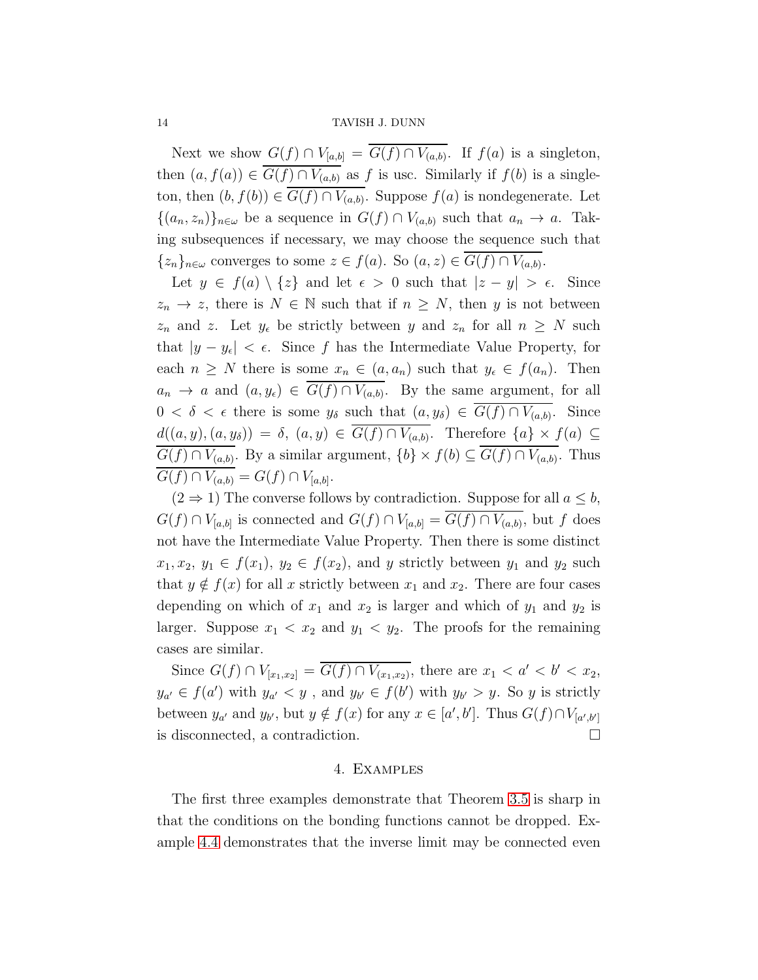Next we show  $G(f) \cap V_{[a,b]} = G(f) \cap V_{(a,b)}$ . If  $f(a)$  is a singleton, then  $(a, f(a)) \in \overline{G(f) \cap V_{(a,b)}}$  as f is usc. Similarly if  $f(b)$  is a singleton, then  $(b, f(b)) \in G(f) \cap V_{(a,b)}$ . Suppose  $f(a)$  is nondegenerate. Let  $\{(a_n, z_n)\}_{n\in\omega}$  be a sequence in  $G(f) \cap V_{(a,b)}$  such that  $a_n \to a$ . Taking subsequences if necessary, we may choose the sequence such that  $\{z_n\}_{n\in\omega}$  converges to some  $z \in f(a)$ . So  $(a, z) \in G(f) \cap V_{(a,b)}$ .

Let  $y \in f(a) \setminus \{z\}$  and let  $\epsilon > 0$  such that  $|z - y| > \epsilon$ . Since  $z_n \to z$ , there is  $N \in \mathbb{N}$  such that if  $n \geq N$ , then y is not between  $z_n$  and z. Let  $y_\epsilon$  be strictly between y and  $z_n$  for all  $n \geq N$  such that  $|y - y_{\epsilon}| < \epsilon$ . Since f has the Intermediate Value Property, for each  $n \geq N$  there is some  $x_n \in (a, a_n)$  such that  $y_{\epsilon} \in f(a_n)$ . Then  $a_n \to a$  and  $(a, y_\epsilon) \in G(f) \cap V_{(a,b)}$ . By the same argument, for all  $0 < \delta < \epsilon$  there is some  $y_{\delta}$  such that  $(a, y_{\delta}) \in G(f) \cap V_{(a,b)}$ . Since  $d((a, y), (a, y_{\delta})) = \delta, (a, y) \in G(f) \cap V_{(a, b)}$ . Therefore  $\{a\} \times f(a) \subseteq$  $G(f) \cap V_{(a,b)}$ . By a similar argument,  $\{b\} \times f(b) \subseteq G(f) \cap V_{(a,b)}$ . Thus  $G(f) \cap V_{(a,b)} = G(f) \cap V_{[a,b]}.$ 

 $(2 \Rightarrow 1)$  The converse follows by contradiction. Suppose for all  $a \leq b$ ,  $G(f) \cap V_{[a,b]}$  is connected and  $G(f) \cap V_{[a,b]} = G(f) \cap V_{(a,b)}$ , but f does not have the Intermediate Value Property. Then there is some distinct  $x_1, x_2, y_1 \in f(x_1), y_2 \in f(x_2)$ , and y strictly between  $y_1$  and  $y_2$  such that  $y \notin f(x)$  for all x strictly between  $x_1$  and  $x_2$ . There are four cases depending on which of  $x_1$  and  $x_2$  is larger and which of  $y_1$  and  $y_2$  is larger. Suppose  $x_1 < x_2$  and  $y_1 < y_2$ . The proofs for the remaining cases are similar.

Since  $G(f) \cap V_{[x_1,x_2]} = \overline{G(f) \cap V_{(x_1,x_2)}},$  there are  $x_1 < a' < b' < x_2$ ,  $y_{a'} \in f(a')$  with  $y_{a'} < y$ , and  $y_{b'} \in f(b')$  with  $y_{b'} > y$ . So y is strictly between  $y_{a'}$  and  $y_{b'}$ , but  $y \notin f(x)$  for any  $x \in [a', b']$ . Thus  $G(f) \cap V_{[a', b']}$ is disconnected, a contradiction.

# 4. Examples

The first three examples demonstrate that Theorem [3.5](#page-8-0) is sharp in that the conditions on the bonding functions cannot be dropped. Example [4.4](#page-15-0) demonstrates that the inverse limit may be connected even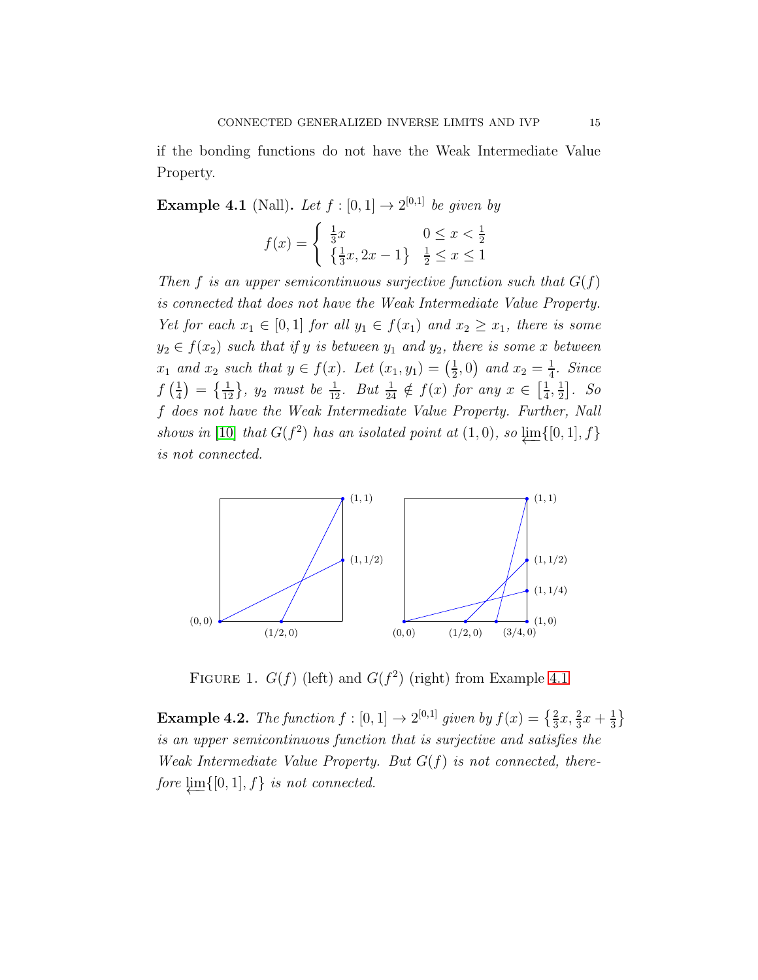if the bonding functions do not have the Weak Intermediate Value Property.

<span id="page-14-0"></span>**Example 4.1** (Nall). Let  $f : [0,1] \rightarrow 2^{[0,1]}$  be given by

$$
f(x) = \begin{cases} \frac{1}{3}x & 0 \le x < \frac{1}{2} \\ \left\{ \frac{1}{3}x, 2x - 1 \right\} & \frac{1}{2} \le x \le 1 \end{cases}
$$

Then f is an upper semicontinuous surjective function such that  $G(f)$ is connected that does not have the Weak Intermediate Value Property. Yet for each  $x_1 \in [0,1]$  for all  $y_1 \in f(x_1)$  and  $x_2 \geq x_1$ , there is some  $y_2 \in f(x_2)$  such that if y is between  $y_1$  and  $y_2$ , there is some x between  $x_1$  and  $x_2$  such that  $y \in f(x)$ . Let  $(x_1, y_1) = \left(\frac{1}{2}\right)$  $(\frac{1}{2},0)$  and  $x_2=\frac{1}{4}$  $rac{1}{4}$ . Since  $f\left(\frac{1}{4}\right)$  $\frac{1}{4}$  =  $\{\frac{1}{12}\}\$ ,  $y_2$  must be  $\frac{1}{12}$ . But  $\frac{1}{24} \notin f(x)$  for any  $x \in \left[\frac{1}{4}\right]$  $\frac{1}{4}$ ,  $\frac{1}{2}$  $\frac{1}{2}$ . So f does not have the Weak Intermediate Value Property. Further, Nall shows in [\[10\]](#page-17-0) that  $G(f^2)$  has an isolated point at  $(1,0)$ , so  $\downarrow \text{m}$ {[0, 1], f} is not connected.



FIGURE 1.  $G(f)$  (left) and  $G(f^2)$  (right) from Example [4.1](#page-14-0)

<span id="page-14-1"></span>**Example 4.2.** The function  $f : [0,1] \to 2^{[0,1]}$  given by  $f(x) = \{\frac{2}{3}x, \frac{2}{3}x + \frac{1}{3}\}$  $\frac{1}{3}$ is an upper semicontinuous function that is surjective and satisfies the Weak Intermediate Value Property. But  $G(f)$  is not connected, therefore  $\varprojlim\{[0, 1], f\}$  is not connected.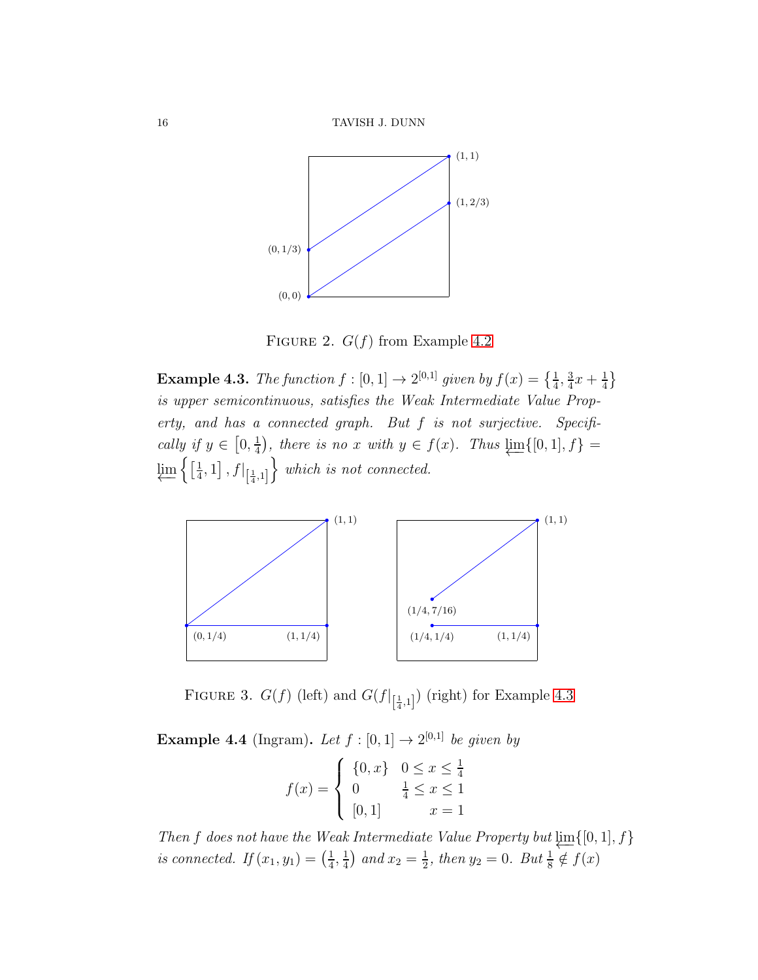16 TAVISH J. DUNN



FIGURE 2.  $G(f)$  from Example [4.2](#page-14-1)

<span id="page-15-1"></span>**Example 4.3.** The function  $f : [0,1] \rightarrow 2^{[0,1]}$  given by  $f(x) = \left\{\frac{1}{4}, \frac{3}{4}\right\}$  $\frac{3}{4}x + \frac{1}{4}$  $\frac{1}{4}$ is upper semicontinuous, satisfies the Weak Intermediate Value Property, and has a connected graph. But f is not surjective. Specifically if  $y \in [0, \frac{1}{4}]$  $\frac{1}{4}$ , there is no x with  $y \in f(x)$ . Thus  $\varprojlim\{[0,1], f\} =$  $\varprojlim\left\{\left[\frac{1}{4}\right]$  $\frac{1}{4}, 1$ ,  $f|_{\left[\frac{1}{4}, 1\right]}$  $\}$  which is not connected.



FIGURE 3.  $G(f)$  (left) and  $G(f|_{\left[\frac{1}{4},1\right]})$  (right) for Example [4.3](#page-15-1)

<span id="page-15-0"></span>**Example 4.4** (Ingram). Let  $f : [0,1] \rightarrow 2^{[0,1]}$  be given by

$$
f(x) = \begin{cases} \{0, x\} & 0 \le x \le \frac{1}{4} \\ 0 & \frac{1}{4} \le x \le 1 \\ [0, 1] & x = 1 \end{cases}
$$

Then f does not have the Weak Intermediate Value Property but  $\varprojlim\{[0,1], f\}$ is connected. If  $(x_1, y_1) = \left(\frac{1}{4}\right)$  $\frac{1}{4}$ ,  $\frac{1}{4}$  $\frac{1}{4}$ ) and  $x_2 = \frac{1}{2}$  $\frac{1}{2}$ , then  $y_2 = 0$ . But  $\frac{1}{8} \notin f(x)$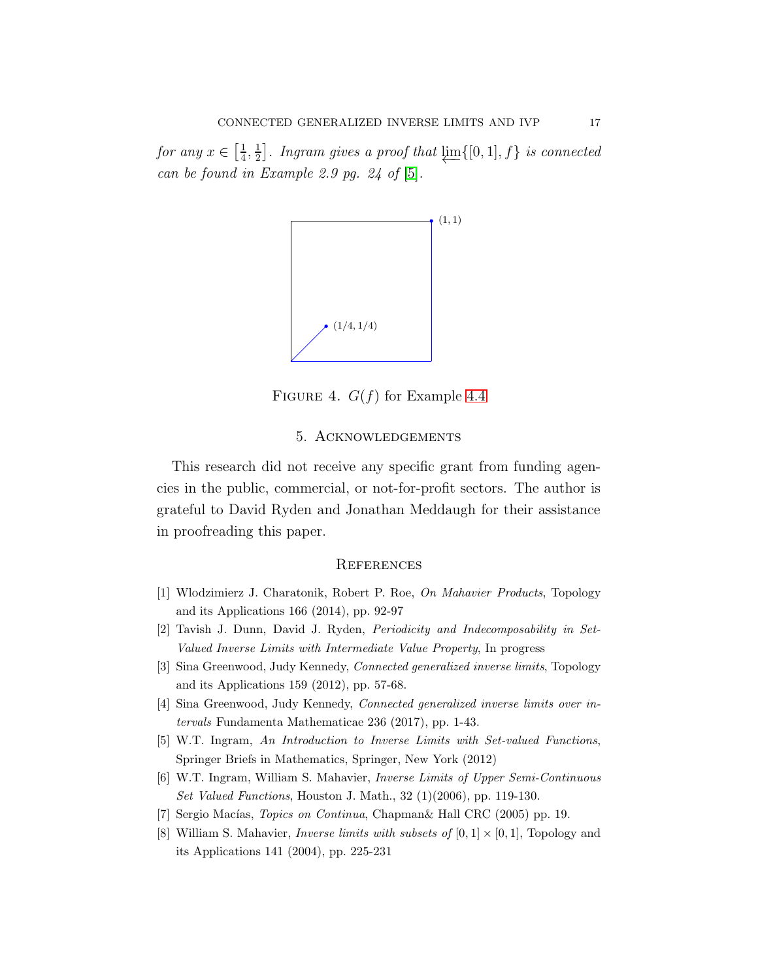for any  $x \in \left[\frac{1}{4}\right]$  $\frac{1}{4}, \frac{1}{2}$  $\frac{1}{2}$ ]. Ingram gives a proof that  $\varprojlim\{[0,1], f\}$  is connected can be found in Example 2.9 pg. 24 of [\[5\]](#page-16-2).



FIGURE 4.  $G(f)$  for Example [4.4](#page-15-0)

# 5. Acknowledgements

This research did not receive any specific grant from funding agencies in the public, commercial, or not-for-profit sectors. The author is grateful to David Ryden and Jonathan Meddaugh for their assistance in proofreading this paper.

# **REFERENCES**

- <span id="page-16-6"></span><span id="page-16-5"></span>[1] Wlodzimierz J. Charatonik, Robert P. Roe, *On Mahavier Products*, Topology and its Applications 166 (2014), pp. 92-97
- <span id="page-16-3"></span>[2] Tavish J. Dunn, David J. Ryden, *Periodicity and Indecomposability in Set-Valued Inverse Limits with Intermediate Value Property*, In progress
- <span id="page-16-4"></span>[3] Sina Greenwood, Judy Kennedy, *Connected generalized inverse limits*, Topology and its Applications 159 (2012), pp. 57-68.
- <span id="page-16-2"></span>[4] Sina Greenwood, Judy Kennedy, *Connected generalized inverse limits over intervals* Fundamenta Mathematicae 236 (2017), pp. 1-43.
- <span id="page-16-0"></span>[5] W.T. Ingram, *An Introduction to Inverse Limits with Set-valued Functions*, Springer Briefs in Mathematics, Springer, New York (2012)
- <span id="page-16-7"></span>[6] W.T. Ingram, William S. Mahavier, *Inverse Limits of Upper Semi-Continuous Set Valued Functions*, Houston J. Math., 32 (1)(2006), pp. 119-130.
- <span id="page-16-1"></span>[7] Sergio Macías, *Topics on Continua*, Chapman& Hall CRC (2005) pp. 19.
- [8] William S. Mahavier, *Inverse limits with subsets of*  $[0,1] \times [0,1]$ , Topology and its Applications 141 (2004), pp. 225-231